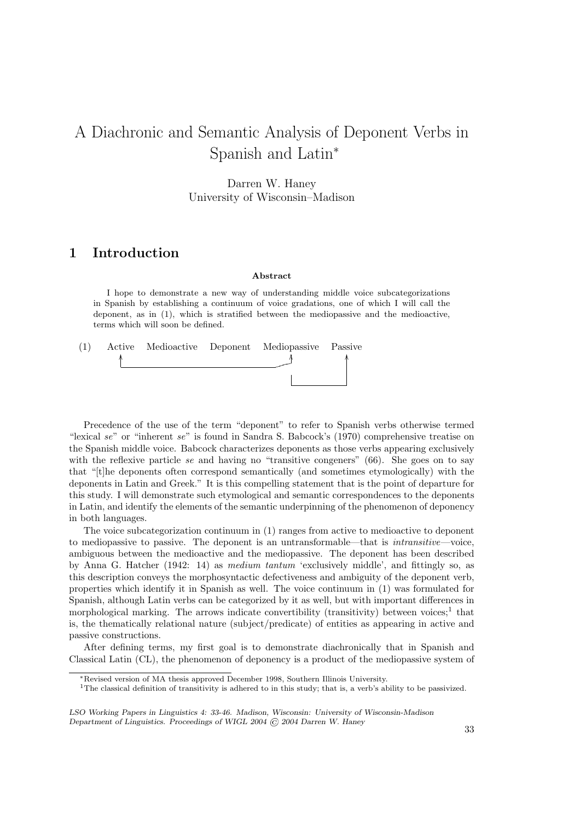# A Diachronic and Semantic Analysis of Deponent Verbs in Spanish and Latin<sup>∗</sup>

Darren W. Haney University of Wisconsin–Madison

## 1 Introduction

#### Abstract

I hope to demonstrate a new way of understanding middle voice subcategorizations in Spanish by establishing a continuum of voice gradations, one of which I will call the deponent, as in (1), which is stratified between the mediopassive and the medioactive, terms which will soon be defined.

| (1) |  | Active Medioactive Deponent Mediopassive Passive |  |
|-----|--|--------------------------------------------------|--|
|     |  |                                                  |  |
|     |  |                                                  |  |
|     |  |                                                  |  |

Precedence of the use of the term "deponent" to refer to Spanish verbs otherwise termed "lexical se" or "inherent se" is found in Sandra S. Babcock's (1970) comprehensive treatise on the Spanish middle voice. Babcock characterizes deponents as those verbs appearing exclusively with the reflexive particle se and having no "transitive congeners"  $(66)$ . She goes on to say that "[t]he deponents often correspond semantically (and sometimes etymologically) with the deponents in Latin and Greek." It is this compelling statement that is the point of departure for this study. I will demonstrate such etymological and semantic correspondences to the deponents in Latin, and identify the elements of the semantic underpinning of the phenomenon of deponency in both languages.

The voice subcategorization continuum in (1) ranges from active to medioactive to deponent to mediopassive to passive. The deponent is an untransformable—that is intransitive—voice, ambiguous between the medioactive and the mediopassive. The deponent has been described by Anna G. Hatcher (1942: 14) as medium tantum 'exclusively middle', and fittingly so, as this description conveys the morphosyntactic defectiveness and ambiguity of the deponent verb, properties which identify it in Spanish as well. The voice continuum in (1) was formulated for Spanish, although Latin verbs can be categorized by it as well, but with important differences in morphological marking. The arrows indicate convertibility (transitivity) between voices;<sup>1</sup> that is, the thematically relational nature (subject/predicate) of entities as appearing in active and passive constructions.

After defining terms, my first goal is to demonstrate diachronically that in Spanish and Classical Latin (CL), the phenomenon of deponency is a product of the mediopassive system of

<sup>∗</sup>Revised version of MA thesis approved December 1998, Southern Illinois University.

<sup>&</sup>lt;sup>1</sup>The classical definition of transitivity is adhered to in this study; that is, a verb's ability to be passivized.

LSO Working Papers in Linguistics 4: 33-46. Madison, Wisconsin: University of Wisconsin-Madison Department of Linguistics. Proceedings of WIGL 2004 © 2004 Darren W. Haney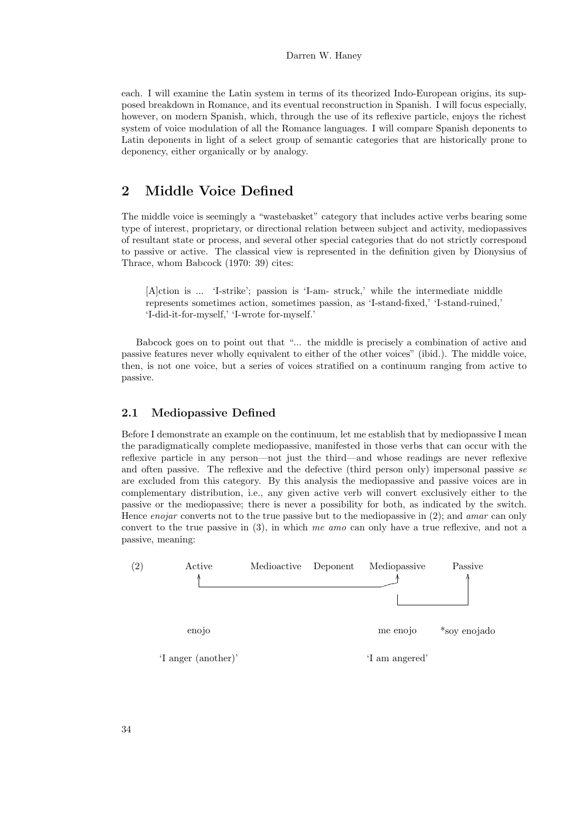each. I will examine the Latin system in terms of its theorized Indo-European origins, its supposed breakdown in Romance, and its eventual reconstruction in Spanish. I will focus especially, however, on modern Spanish, which, through the use of its reflexive particle, enjoys the richest system of voice modulation of all the Romance languages. I will compare Spanish deponents to Latin deponents in light of a select group of semantic categories that are historically prone to deponency, either organically or by analogy.

### 2 Middle Voice Defined

The middle voice is seemingly a "wastebasket" category that includes active verbs bearing some type of interest, proprietary, or directional relation between subject and activity, mediopassives of resultant state or process, and several other special categories that do not strictly correspond to passive or active. The classical view is represented in the definition given by Dionysius of Thrace, whom Babcock (1970: 39) cites:

[A]ction is ... 'I-strike'; passion is 'I-am- struck,' while the intermediate middle represents sometimes action, sometimes passion, as 'I-stand-fixed,' 'I-stand-ruined,' 'I-did-it-for-myself,' 'I-wrote for-myself.'

Babcock goes on to point out that "... the middle is precisely a combination of active and passive features never wholly equivalent to either of the other voices" (ibid.). The middle voice, then, is not one voice, but a series of voices stratified on a continuum ranging from active to passive.

#### 2.1 Mediopassive Defined

Before I demonstrate an example on the continuum, let me establish that by mediopassive I mean the paradigmatically complete mediopassive, manifested in those verbs that can occur with the reflexive particle in any person—not just the third—and whose readings are never reflexive and often passive. The reflexive and the defective (third person only) impersonal passive se are excluded from this category. By this analysis the mediopassive and passive voices are in complementary distribution, i.e., any given active verb will convert exclusively either to the passive or the mediopassive; there is never a possibility for both, as indicated by the switch. Hence *enojar* converts not to the true passive but to the mediopassive in  $(2)$ ; and *amar* can only convert to the true passive in  $(3)$ , in which me amo can only have a true reflexive, and not a passive, meaning:

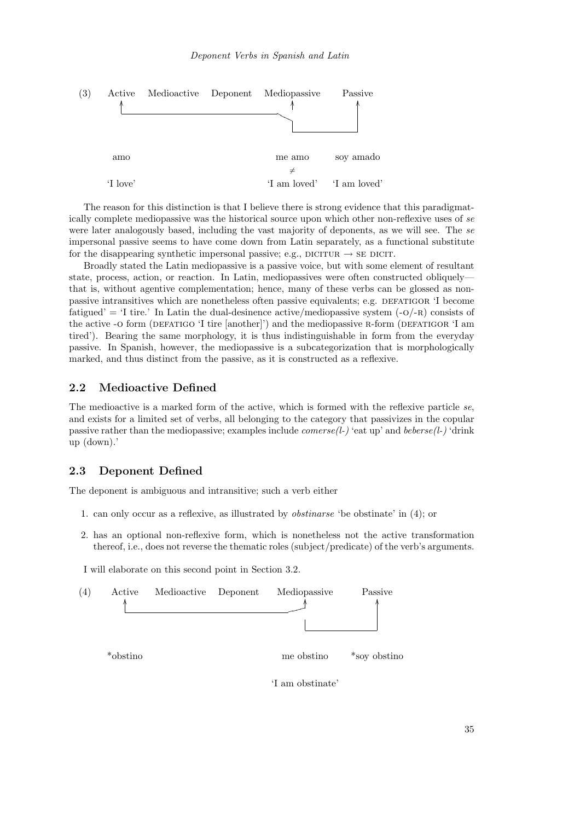

The reason for this distinction is that I believe there is strong evidence that this paradigmatically complete mediopassive was the historical source upon which other non-reflexive uses of se were later analogously based, including the vast majority of deponents, as we will see. The se impersonal passive seems to have come down from Latin separately, as a functional substitute for the disappearing synthetic impersonal passive; e.g., DICITUR  $\rightarrow$  SE DICIT.

Broadly stated the Latin mediopassive is a passive voice, but with some element of resultant state, process, action, or reaction. In Latin, mediopassives were often constructed obliquely that is, without agentive complementation; hence, many of these verbs can be glossed as nonpassive intransitives which are nonetheless often passive equivalents; e.g. DEFATIGOR 'I become fatigued' = 'I tire.' In Latin the dual-desinence active/mediopassive system  $(-O/-R)$  consists of the active -o form (DEFATIGO 'I tire [another]') and the mediopassive R-form (DEFATIGOR 'I am tired'). Bearing the same morphology, it is thus indistinguishable in form from the everyday passive. In Spanish, however, the mediopassive is a subcategorization that is morphologically marked, and thus distinct from the passive, as it is constructed as a reflexive.

#### 2.2 Medioactive Defined

The medioactive is a marked form of the active, which is formed with the reflexive particle se, and exists for a limited set of verbs, all belonging to the category that passivizes in the copular passive rather than the mediopassive; examples include *comerse(l-)* 'eat up' and *beberse(l-)* 'drink up (down).'

#### 2.3 Deponent Defined

The deponent is ambiguous and intransitive; such a verb either

- 1. can only occur as a reflexive, as illustrated by obstinarse 'be obstinate' in (4); or
- 2. has an optional non-reflexive form, which is nonetheless not the active transformation thereof, i.e., does not reverse the thematic roles (subject/predicate) of the verb's arguments.

I will elaborate on this second point in Section 3.2.

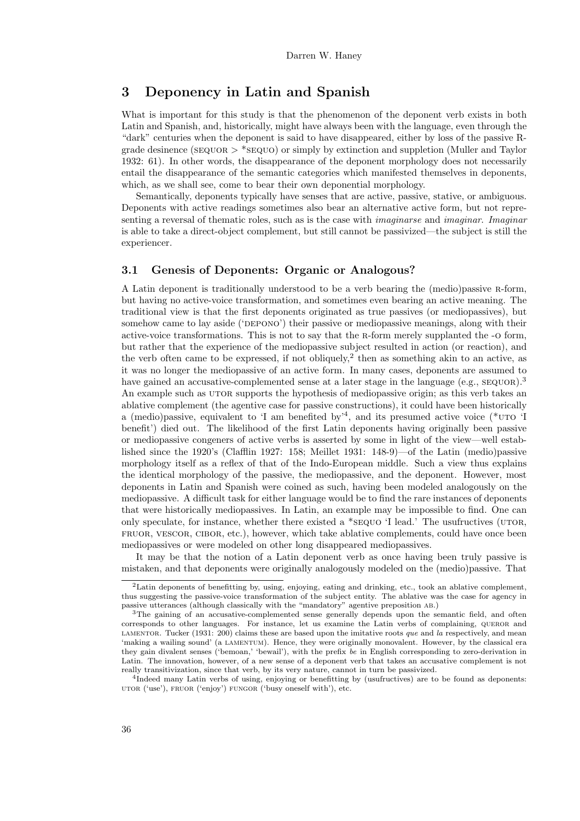### 3 Deponency in Latin and Spanish

What is important for this study is that the phenomenon of the deponent verb exists in both Latin and Spanish, and, historically, might have always been with the language, even through the "dark" centuries when the deponent is said to have disappeared, either by loss of the passive Rgrade desinence (sequor > \*sequo) or simply by extinction and suppletion (Muller and Taylor 1932: 61). In other words, the disappearance of the deponent morphology does not necessarily entail the disappearance of the semantic categories which manifested themselves in deponents, which, as we shall see, come to bear their own deponential morphology.

Semantically, deponents typically have senses that are active, passive, stative, or ambiguous. Deponents with active readings sometimes also bear an alternative active form, but not representing a reversal of thematic roles, such as is the case with *imaginarse* and *imaginar. Imaginar* is able to take a direct-object complement, but still cannot be passivized—the subject is still the experiencer.

#### 3.1 Genesis of Deponents: Organic or Analogous?

A Latin deponent is traditionally understood to be a verb bearing the (medio)passive r-form, but having no active-voice transformation, and sometimes even bearing an active meaning. The traditional view is that the first deponents originated as true passives (or mediopassives), but somehow came to lay aside ('DEPONO') their passive or mediopassive meanings, along with their active-voice transformations. This is not to say that the r-form merely supplanted the -o form, but rather that the experience of the mediopassive subject resulted in action (or reaction), and the verb often came to be expressed, if not obliquely,<sup>2</sup> then as something akin to an active, as it was no longer the mediopassive of an active form. In many cases, deponents are assumed to have gained an accusative-complemented sense at a later stage in the language (e.g.,  $\text{seqUOR}$ ).<sup>3</sup> An example such as UTOR supports the hypothesis of mediopassive origin; as this verb takes an ablative complement (the agentive case for passive constructions), it could have been historically a (medio)passive, equivalent to 'I am benefited by'<sup>4</sup>, and its presumed active voice (\*UTO 'I benefit') died out. The likelihood of the first Latin deponents having originally been passive or mediopassive congeners of active verbs is asserted by some in light of the view—well established since the 1920's (Clafflin 1927: 158; Meillet 1931: 148-9)—of the Latin (medio)passive morphology itself as a reflex of that of the Indo-European middle. Such a view thus explains the identical morphology of the passive, the mediopassive, and the deponent. However, most deponents in Latin and Spanish were coined as such, having been modeled analogously on the mediopassive. A difficult task for either language would be to find the rare instances of deponents that were historically mediopassives. In Latin, an example may be impossible to find. One can only speculate, for instance, whether there existed a  $*$  sequo 'I lead.' The usufructives (UTOR, FRUOR, VESCOR, CIBOR, etc.), however, which take ablative complements, could have once been mediopassives or were modeled on other long disappeared mediopassives.

It may be that the notion of a Latin deponent verb as once having been truly passive is mistaken, and that deponents were originally analogously modeled on the (medio)passive. That

<sup>&</sup>lt;sup>2</sup>Latin deponents of benefitting by, using, enjoying, eating and drinking, etc., took an ablative complement, thus suggesting the passive-voice transformation of the subject entity. The ablative was the case for agency in passive utterances (although classically with the "mandatory" agentive preposition ab.)

<sup>&</sup>lt;sup>3</sup>The gaining of an accusative-complemented sense generally depends upon the semantic field, and often corresponds to other languages. For instance, let us examine the Latin verbs of complaining, queror and LAMENTOR. Tucker (1931: 200) claims these are based upon the imitative roots que and la respectively, and mean 'making a wailing sound' (a lamentum). Hence, they were originally monovalent. However, by the classical era they gain divalent senses ('bemoan,' 'bewail'), with the prefix be in English corresponding to zero-derivation in Latin. The innovation, however, of a new sense of a deponent verb that takes an accusative complement is not really transitivization, since that verb, by its very nature, cannot in turn be passivized.

 $^{4}$ Indeed many Latin verbs of using, enjoying or benefitting by (usufructives) are to be found as deponents: utor ('use'), fruor ('enjoy') fungor ('busy oneself with'), etc.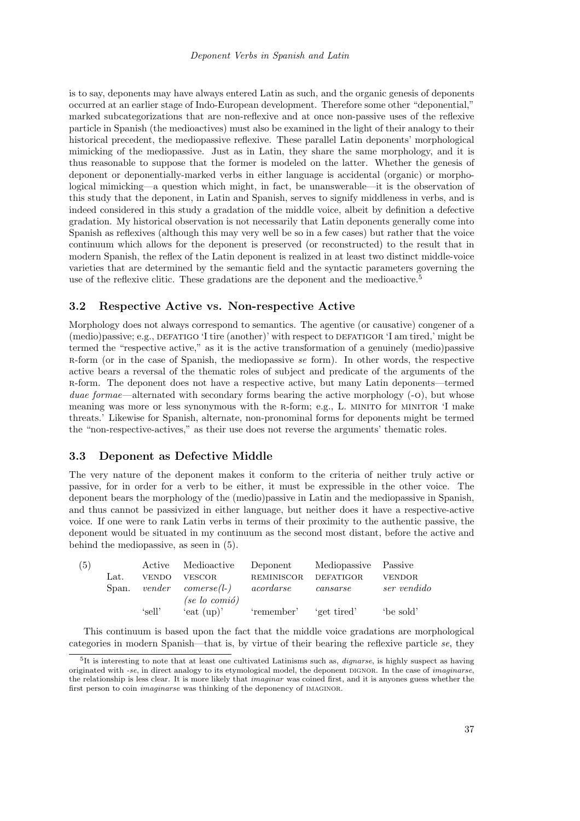is to say, deponents may have always entered Latin as such, and the organic genesis of deponents occurred at an earlier stage of Indo-European development. Therefore some other "deponential," marked subcategorizations that are non-reflexive and at once non-passive uses of the reflexive particle in Spanish (the medioactives) must also be examined in the light of their analogy to their historical precedent, the mediopassive reflexive. These parallel Latin deponents' morphological mimicking of the mediopassive. Just as in Latin, they share the same morphology, and it is thus reasonable to suppose that the former is modeled on the latter. Whether the genesis of deponent or deponentially-marked verbs in either language is accidental (organic) or morphological mimicking—a question which might, in fact, be unanswerable—it is the observation of this study that the deponent, in Latin and Spanish, serves to signify middleness in verbs, and is indeed considered in this study a gradation of the middle voice, albeit by definition a defective gradation. My historical observation is not necessarily that Latin deponents generally come into Spanish as reflexives (although this may very well be so in a few cases) but rather that the voice continuum which allows for the deponent is preserved (or reconstructed) to the result that in modern Spanish, the reflex of the Latin deponent is realized in at least two distinct middle-voice varieties that are determined by the semantic field and the syntactic parameters governing the use of the reflexive clitic. These gradations are the deponent and the medioactive.<sup>5</sup>

#### 3.2 Respective Active vs. Non-respective Active

Morphology does not always correspond to semantics. The agentive (or causative) congener of a  $(\text{medio})$  passive; e.g., DEFATIGO 'I tire  $(\text{another})'$  with respect to DEFATIGOR 'I am tired,' might be termed the "respective active," as it is the active transformation of a genuinely (medio)passive R-form (or in the case of Spanish, the mediopassive se form). In other words, the respective active bears a reversal of the thematic roles of subject and predicate of the arguments of the r-form. The deponent does not have a respective active, but many Latin deponents—termed *duae formae—alternated with secondary forms bearing the active morphology*  $(-0)$ , but whose meaning was more or less synonymous with the R-form; e.g., L. MINITO for MINITOR 'I make threats.' Likewise for Spanish, alternate, non-pronominal forms for deponents might be termed the "non-respective-actives," as their use does not reverse the arguments' thematic roles.

#### 3.3 Deponent as Defective Middle

The very nature of the deponent makes it conform to the criteria of neither truly active or passive, for in order for a verb to be either, it must be expressible in the other voice. The deponent bears the morphology of the (medio)passive in Latin and the mediopassive in Spanish, and thus cannot be passivized in either language, but neither does it have a respective-active voice. If one were to rank Latin verbs in terms of their proximity to the authentic passive, the deponent would be situated in my continuum as the second most distant, before the active and behind the mediopassive, as seen in (5).

| (5) |       |              | Active Medioactive Deponent       |                   | Mediopassive Passive   |               |
|-----|-------|--------------|-----------------------------------|-------------------|------------------------|---------------|
|     | Lat.  | <b>VENDO</b> | <b>VESCOR</b>                     | <b>REMINISCOR</b> | DEFATIGOR              | <b>VENDOR</b> |
|     | Span. |              | $vender$ comerse(l-)              | acordarse         | cases <sub>cases</sub> | ser vendido   |
|     |       |              | $(se \text{ } lo \text{ } comio)$ |                   |                        |               |
|     |       | 'sell'       | 'eat $(up)'$                      | 'remember'        | 'get tired'            | be sold'      |
|     |       |              |                                   |                   |                        |               |

This continuum is based upon the fact that the middle voice gradations are morphological categories in modern Spanish—that is, by virtue of their bearing the reflexive particle se, they

<sup>&</sup>lt;sup>5</sup>It is interesting to note that at least one cultivated Latinisms such as, *dignarse*, is highly suspect as having originated with -se, in direct analogy to its etymological model, the deponent DIGNOR. In the case of *imaginarse*, the relationship is less clear. It is more likely that imaginar was coined first, and it is anyones guess whether the first person to coin imaginarse was thinking of the deponency of imaginor.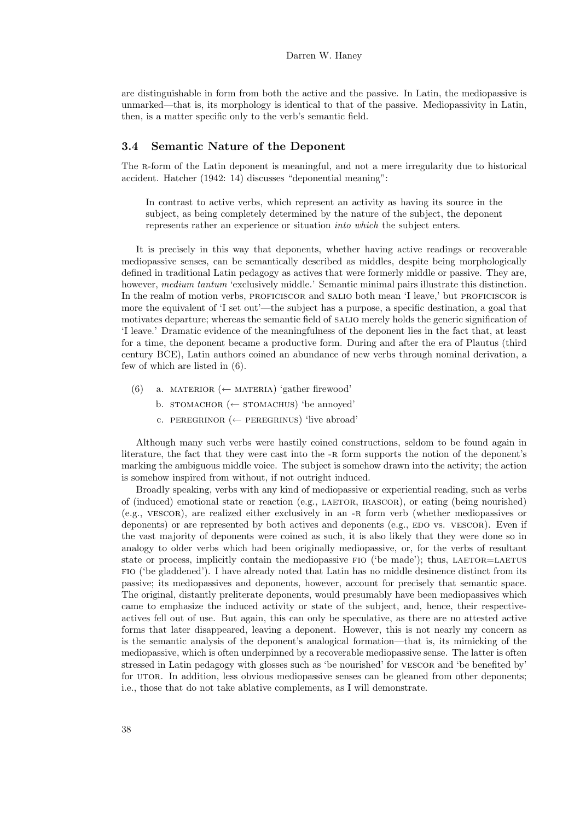are distinguishable in form from both the active and the passive. In Latin, the mediopassive is unmarked—that is, its morphology is identical to that of the passive. Mediopassivity in Latin, then, is a matter specific only to the verb's semantic field.

#### 3.4 Semantic Nature of the Deponent

The R-form of the Latin deponent is meaningful, and not a mere irregularity due to historical accident. Hatcher (1942: 14) discusses "deponential meaning":

In contrast to active verbs, which represent an activity as having its source in the subject, as being completely determined by the nature of the subject, the deponent represents rather an experience or situation into which the subject enters.

It is precisely in this way that deponents, whether having active readings or recoverable mediopassive senses, can be semantically described as middles, despite being morphologically defined in traditional Latin pedagogy as actives that were formerly middle or passive. They are, however, medium tantum 'exclusively middle.' Semantic minimal pairs illustrate this distinction. In the realm of motion verbs, PROFICISCOR and SALIO both mean 'I leave,' but PROFICISCOR is more the equivalent of 'I set out'—the subject has a purpose, a specific destination, a goal that motivates departure; whereas the semantic field of salio merely holds the generic signification of 'I leave.' Dramatic evidence of the meaningfulness of the deponent lies in the fact that, at least for a time, the deponent became a productive form. During and after the era of Plautus (third century BCE), Latin authors coined an abundance of new verbs through nominal derivation, a few of which are listed in (6).

- (6) a. MATERIOR (← MATERIA) 'gather firewood'
	- b. stomachor (← stomachus) 'be annoved'
	- c. PEREGRINOR (← PEREGRINUS) 'live abroad'

Although many such verbs were hastily coined constructions, seldom to be found again in literature, the fact that they were cast into the -R form supports the notion of the deponent's marking the ambiguous middle voice. The subject is somehow drawn into the activity; the action is somehow inspired from without, if not outright induced.

Broadly speaking, verbs with any kind of mediopassive or experiential reading, such as verbs of (induced) emotional state or reaction (e.g., LAETOR, IRASCOR), or eating (being nourished) (e.g., vescor), are realized either exclusively in an -r form verb (whether mediopassives or deponents) or are represented by both actives and deponents (e.g., EDO vs. VESCOR). Even if the vast majority of deponents were coined as such, it is also likely that they were done so in analogy to older verbs which had been originally mediopassive, or, for the verbs of resultant state or process, implicitly contain the mediopassive FIO ('be made'); thus, LAETOR=LAETUS fio ('be gladdened'). I have already noted that Latin has no middle desinence distinct from its passive; its mediopassives and deponents, however, account for precisely that semantic space. The original, distantly preliterate deponents, would presumably have been mediopassives which came to emphasize the induced activity or state of the subject, and, hence, their respectiveactives fell out of use. But again, this can only be speculative, as there are no attested active forms that later disappeared, leaving a deponent. However, this is not nearly my concern as is the semantic analysis of the deponent's analogical formation—that is, its mimicking of the mediopassive, which is often underpinned by a recoverable mediopassive sense. The latter is often stressed in Latin pedagogy with glosses such as 'be nourished' for vESCOR and 'be benefited by' for UTOR. In addition, less obvious mediopassive senses can be gleaned from other deponents; i.e., those that do not take ablative complements, as I will demonstrate.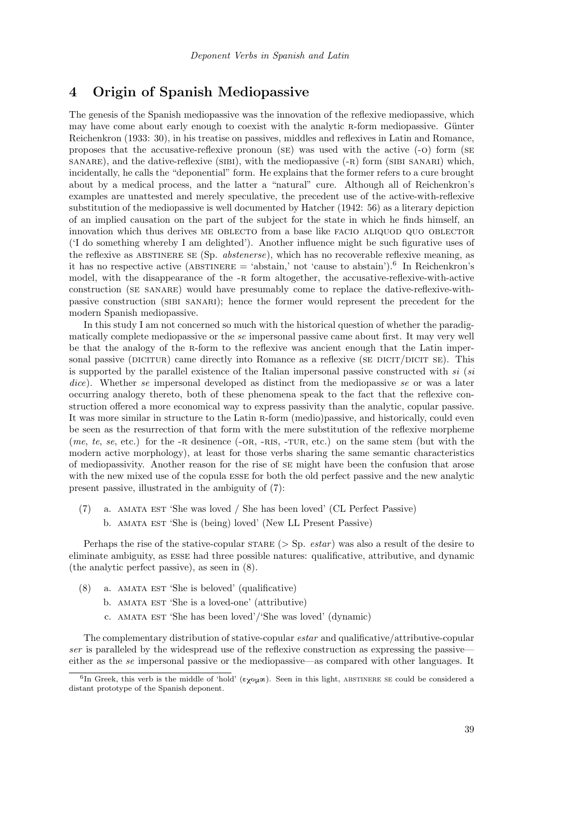### 4 Origin of Spanish Mediopassive

The genesis of the Spanish mediopassive was the innovation of the reflexive mediopassive, which may have come about early enough to coexist with the analytic R-form mediopassive. Günter Reichenkron (1933: 30), in his treatise on passives, middles and reflexives in Latin and Romance, proposes that the accusative-reflexive pronoun (se) was used with the active (-o) form (se sanare), and the dative-reflexive (sibi), with the mediopassive  $(-R)$  form (sibi sanari) which, incidentally, he calls the "deponential" form. He explains that the former refers to a cure brought about by a medical process, and the latter a "natural" cure. Although all of Reichenkron's examples are unattested and merely speculative, the precedent use of the active-with-reflexive substitution of the mediopassive is well documented by Hatcher (1942: 56) as a literary depiction of an implied causation on the part of the subject for the state in which he finds himself, an innovation which thus derives ME OBLECTO from a base like FACIO ALIQUOD QUO OBLECTOR ('I do something whereby I am delighted'). Another influence might be such figurative uses of the reflexive as ABSTINERE SE (Sp. *abstenerse*), which has no recoverable reflexive meaning, as it has no respective active (ABSTINERE = 'abstain,' not 'cause to abstain').<sup>6</sup> In Reichenkron's model, with the disappearance of the -R form altogether, the accusative-reflexive-with-active construction (se sanare) would have presumably come to replace the dative-reflexive-withpassive construction (sibi sanari); hence the former would represent the precedent for the modern Spanish mediopassive.

In this study I am not concerned so much with the historical question of whether the paradigmatically complete mediopassive or the se impersonal passive came about first. It may very well be that the analogy of the r-form to the reflexive was ancient enough that the Latin impersonal passive (DICITUR) came directly into Romance as a reflexive ( $SE$  DICIT/DICIT  $SE$ ). This is supported by the parallel existence of the Italian impersonal passive constructed with  $si$  ( $si$ dice). Whether se impersonal developed as distinct from the mediopassive se or was a later occurring analogy thereto, both of these phenomena speak to the fact that the reflexive construction offered a more economical way to express passivity than the analytic, copular passive. It was more similar in structure to the Latin r-form (medio)passive, and historically, could even be seen as the resurrection of that form with the mere substitution of the reflexive morpheme (me, te, se, etc.) for the  $-R$  desinence ( $-OR$ ,  $-RIS$ ,  $-TUR$ , etc.) on the same stem (but with the modern active morphology), at least for those verbs sharing the same semantic characteristics of mediopassivity. Another reason for the rise of se might have been the confusion that arose with the new mixed use of the copula esse for both the old perfect passive and the new analytic present passive, illustrated in the ambiguity of (7):

(7) a. amata est 'She was loved / She has been loved' (CL Perfect Passive) b. AMATA EST 'She is (being) loved' (New LL Present Passive)

Perhaps the rise of the stative-copular STARE  $(>\text{Sp.} estar)$  was also a result of the desire to eliminate ambiguity, as esse had three possible natures: qualificative, attributive, and dynamic (the analytic perfect passive), as seen in (8).

- $(8)$  a. AMATA EST 'She is beloved' (qualificative)
	- b. AMATA EST 'She is a loved-one' (attributive)
	- c. amata est 'She has been loved'/'She was loved' (dynamic)

The complementary distribution of stative-copular estar and qualificative/attributive-copular ser is paralleled by the widespread use of the reflexive construction as expressing the passive either as the se impersonal passive or the mediopassive—as compared with other languages. It

<sup>&</sup>lt;sup>6</sup>In Greek, this verb is the middle of 'hold' (εχομαι). Seen in this light, ABSTINERE SE could be considered a distant prototype of the Spanish deponent.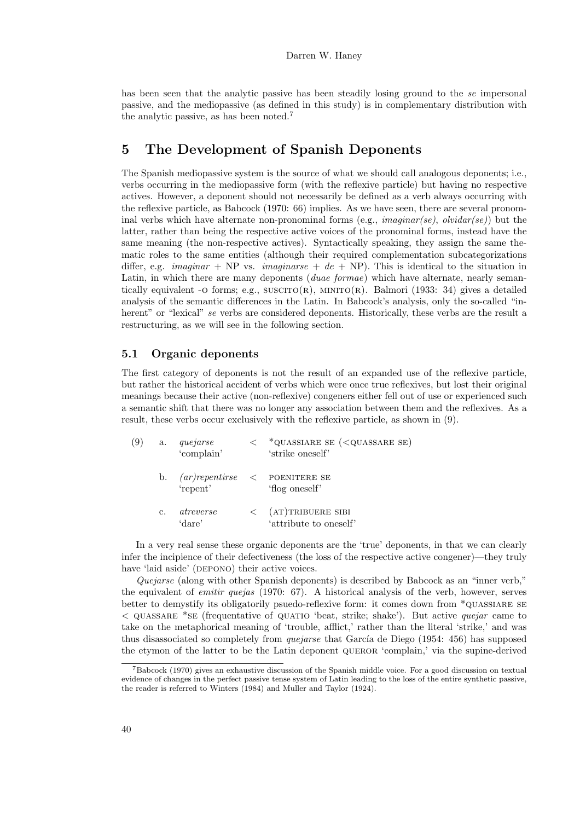has been seen that the analytic passive has been steadily losing ground to the se impersonal passive, and the mediopassive (as defined in this study) is in complementary distribution with the analytic passive, as has been noted.<sup>7</sup>

### 5 The Development of Spanish Deponents

The Spanish mediopassive system is the source of what we should call analogous deponents; i.e., verbs occurring in the mediopassive form (with the reflexive particle) but having no respective actives. However, a deponent should not necessarily be defined as a verb always occurring with the reflexive particle, as Babcock (1970: 66) implies. As we have seen, there are several pronominal verbs which have alternate non-pronominal forms (e.g., *imaginar(se)*, *olvidar(se)*) but the latter, rather than being the respective active voices of the pronominal forms, instead have the same meaning (the non-respective actives). Syntactically speaking, they assign the same thematic roles to the same entities (although their required complementation subcategorizations differ, e.g. *imaginar* + NP vs. *imaginarse* +  $de$  + NP). This is identical to the situation in Latin, in which there are many deponents (*duae formae*) which have alternate, nearly semantically equivalent -o forms; e.g.,  $SUSCTO(R)$ ,  $MINITO(R)$ . Balmori (1933: 34) gives a detailed analysis of the semantic differences in the Latin. In Babcock's analysis, only the so-called "inherent" or "lexical" se verbs are considered deponents. Historically, these verbs are the result a restructuring, as we will see in the following section.

#### 5.1 Organic deponents

The first category of deponents is not the result of an expanded use of the reflexive particle, but rather the historical accident of verbs which were once true reflexives, but lost their original meanings because their active (non-reflexive) congeners either fell out of use or experienced such a semantic shift that there was no longer any association between them and the reflexives. As a result, these verbs occur exclusively with the reflexive particle, as shown in (9).

| (9) | a. | quejarse<br>'complain' | *QUASSIARE SE ( <quassare se)<br="">'strike oneself'</quassare> |
|-----|----|------------------------|-----------------------------------------------------------------|
|     | b. | 'repent'               | $(ar/repentirse <$ POENITERE SE<br>'flog oneself'               |
|     | c. | atreverse<br>'dare'    | $\langle$ (AT) TRIBUERE SIBI<br>'attribute to oneself'          |

In a very real sense these organic deponents are the 'true' deponents, in that we can clearly infer the incipience of their defectiveness (the loss of the respective active congener)—they truly have 'laid aside' (DEPONO) their active voices.

Quejarse (along with other Spanish deponents) is described by Babcock as an "inner verb," the equivalent of *emitir quejas* (1970: 67). A historical analysis of the verb, however, serves better to demystify its obligatorily psuedo-reflexive form: it comes down from \*quassiare se  $\leq$  QUASSARE \*SE (frequentative of QUATIO 'beat, strike; shake'). But active *quejar* came to take on the metaphorical meaning of 'trouble, afflict,' rather than the literal 'strike,' and was thus disassociated so completely from *quejarse* that García de Diego (1954: 456) has supposed the etymon of the latter to be the Latin deponent QUEROR 'complain,' via the supine-derived

<sup>7</sup>Babcock (1970) gives an exhaustive discussion of the Spanish middle voice. For a good discussion on textual evidence of changes in the perfect passive tense system of Latin leading to the loss of the entire synthetic passive, the reader is referred to Winters (1984) and Muller and Taylor (1924).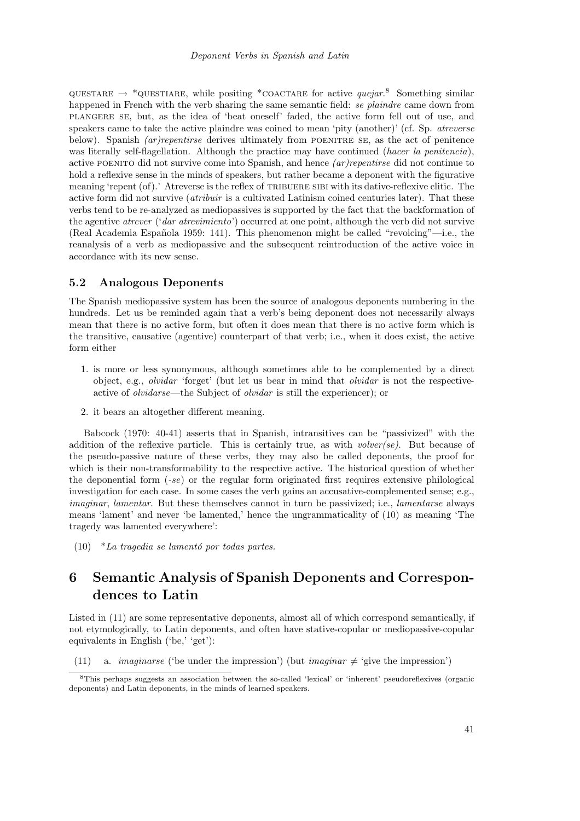QUESTARE  $\rightarrow$  \*QUESTIARE, while positing \*COACTARE for active *quejar*.<sup>8</sup> Something similar happened in French with the verb sharing the same semantic field: se plaindre came down from plangere se, but, as the idea of 'beat oneself' faded, the active form fell out of use, and speakers came to take the active plaindre was coined to mean 'pity (another)' (cf. Sp. *atreverse* below). Spanish *(ar)repentirse* derives ultimately from POENITRE SE, as the act of penitence was literally self-flagellation. Although the practice may have continued (hacer la penitencia), active poenito did not survive come into Spanish, and hence (ar)repentirse did not continue to hold a reflexive sense in the minds of speakers, but rather became a deponent with the figurative meaning 'repent (of).' Atreverse is the reflex of TRIBUERE SIBI with its dative-reflexive clitic. The active form did not survive (atribuir is a cultivated Latinism coined centuries later). That these verbs tend to be re-analyzed as mediopassives is supported by the fact that the backformation of the agentive atrever ('dar atrevimiento') occurred at one point, although the verb did not survive (Real Academia Española 1959: 141). This phenomenon might be called "revoicing"—i.e., the reanalysis of a verb as mediopassive and the subsequent reintroduction of the active voice in accordance with its new sense.

#### 5.2 Analogous Deponents

The Spanish mediopassive system has been the source of analogous deponents numbering in the hundreds. Let us be reminded again that a verb's being deponent does not necessarily always mean that there is no active form, but often it does mean that there is no active form which is the transitive, causative (agentive) counterpart of that verb; i.e., when it does exist, the active form either

- 1. is more or less synonymous, although sometimes able to be complemented by a direct object, e.g., olvidar 'forget' (but let us bear in mind that olvidar is not the respectiveactive of olvidarse—the Subject of olvidar is still the experiencer); or
- 2. it bears an altogether different meaning.

Babcock (1970: 40-41) asserts that in Spanish, intransitives can be "passivized" with the addition of the reflexive particle. This is certainly true, as with *volver(se)*. But because of the pseudo-passive nature of these verbs, they may also be called deponents, the proof for which is their non-transformability to the respective active. The historical question of whether the deponential form (-se) or the regular form originated first requires extensive philological investigation for each case. In some cases the verb gains an accusative-complemented sense; e.g., imaginar, lamentar. But these themselves cannot in turn be passivized; i.e., lamentarse always means 'lament' and never 'be lamented,' hence the ungrammaticality of (10) as meaning 'The tragedy was lamented everywhere':

 $(10)$  \*La tragedia se lamentó por todas partes.

# 6 Semantic Analysis of Spanish Deponents and Correspondences to Latin

Listed in (11) are some representative deponents, almost all of which correspond semantically, if not etymologically, to Latin deponents, and often have stative-copular or mediopassive-copular equivalents in English ('be,' 'get'):

(11) a. *imaginarse* ('be under the impression') (but *imaginar*  $\neq$  'give the impression')

<sup>8</sup>This perhaps suggests an association between the so-called 'lexical' or 'inherent' pseudoreflexives (organic deponents) and Latin deponents, in the minds of learned speakers.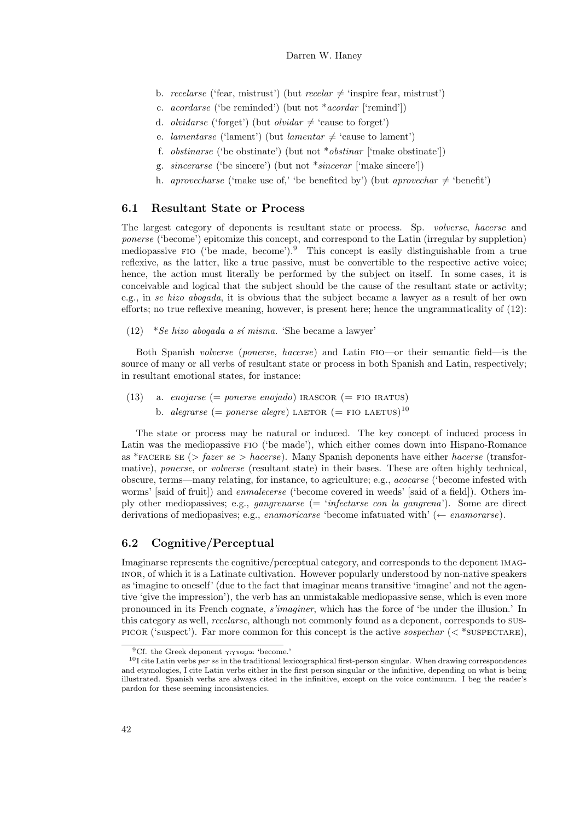- b. recelarse ('fear, mistrust') (but recelar  $\neq$  'inspire fear, mistrust')
- c. acordarse ('be reminded') (but not \*acordar ['remind'])
- d. *olvidarse* ('forget') (but *olvidar*  $\neq$  'cause to forget')
- e. *lamentarse* ('lament') (but *lamentar*  $\neq$  'cause to lament')
- f. *obstinarse* ('be obstinate') (but not  $*$ *obstinar* ['make obstinate'])
- g. sincerarse ('be sincere') (but not \*sincerar ['make sincere'])
- h. aprovecharse ('make use of,' 'be benefited by') (but aprovechar  $\neq$  'benefit')

#### 6.1 Resultant State or Process

The largest category of deponents is resultant state or process. Sp. volverse, hacerse and ponerse ('become') epitomize this concept, and correspond to the Latin (irregular by suppletion) mediopassive fio ('be made, become').<sup>9</sup> This concept is easily distinguishable from a true reflexive, as the latter, like a true passive, must be convertible to the respective active voice; hence, the action must literally be performed by the subject on itself. In some cases, it is conceivable and logical that the subject should be the cause of the resultant state or activity; e.g., in se hizo abogada, it is obvious that the subject became a lawyer as a result of her own efforts; no true reflexive meaning, however, is present here; hence the ungrammaticality of (12):

(12) \*Se hizo abogada a sí misma. 'She became a lawyer'

Both Spanish volverse (ponerse, hacerse) and Latin fio—or their semantic field—is the source of many or all verbs of resultant state or process in both Spanish and Latin, respectively; in resultant emotional states, for instance:

(13) a. enojarse (= ponerse enojado) IRASCOR (= FIO IRATUS) b. *alegrarse* (= ponerse alegre) LAETOR (= FIO LAETUS)<sup>10</sup>

The state or process may be natural or induced. The key concept of induced process in Latin was the mediopassive fio ('be made'), which either comes down into Hispano-Romance as \*FACERE SE (> fazer se > hacerse). Many Spanish deponents have either hacerse (transformative), ponerse, or volverse (resultant state) in their bases. These are often highly technical, obscure, terms—many relating, for instance, to agriculture; e.g., acocarse ('become infested with worms' [said of fruit]) and *enmalecerse* ('become covered in weeds' [said of a field]). Others imply other mediopassives; e.g., *gangrenarse* (= '*infectarse con la gangrena*'). Some are direct derivations of mediopasives; e.g., *enamoricarse* 'become infatuated with' ( $\leftarrow$  *enamorarse*).

#### 6.2 Cognitive/Perceptual

Imaginarse represents the cognitive/perceptual category, and corresponds to the deponent imaginor, of which it is a Latinate cultivation. However popularly understood by non-native speakers as 'imagine to oneself' (due to the fact that imaginar means transitive 'imagine' and not the agentive 'give the impression'), the verb has an unmistakable mediopassive sense, which is even more pronounced in its French cognate, s'imaginer, which has the force of 'be under the illusion.' In this category as well, *recelarse*, although not commonly found as a deponent, corresponds to sus-PICOR ('suspect'). Far more common for this concept is the active sospechar  $(<$  \*SUSPECTARE),

 ${}^{9}$ Cf. the Greek deponent  $\gamma\gamma\gamma\gamma\gamma\alpha\alpha$  'become.'

 $10$ I cite Latin verbs *per se* in the traditional lexicographical first-person singular. When drawing correspondences and etymologies, I cite Latin verbs either in the first person singular or the infinitive, depending on what is being illustrated. Spanish verbs are always cited in the infinitive, except on the voice continuum. I beg the reader's pardon for these seeming inconsistencies.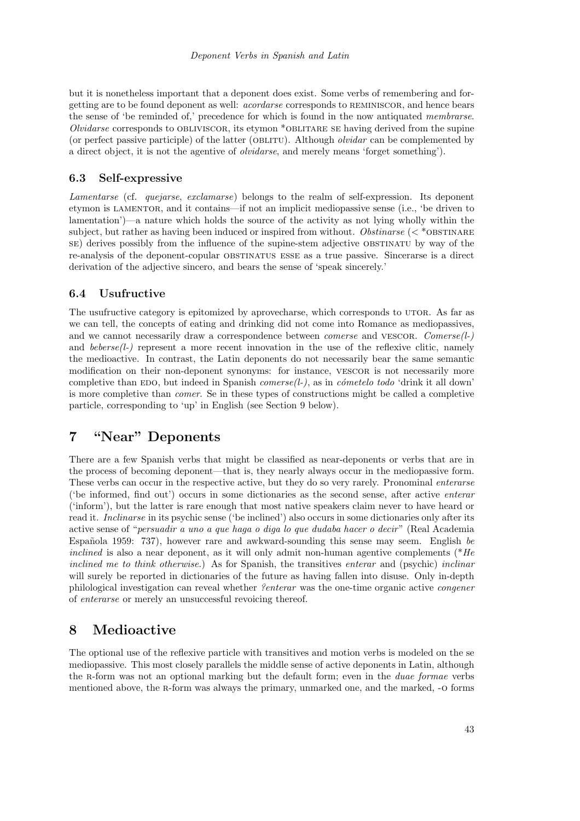but it is nonetheless important that a deponent does exist. Some verbs of remembering and forgetting are to be found deponent as well: acordarse corresponds to reminiscor, and hence bears the sense of 'be reminded of,' precedence for which is found in the now antiquated membrarse. *Olvidarse* corresponds to OBLIVISCOR, its etymon \*OBLITARE SE having derived from the supine (or perfect passive participle) of the latter (OBLITU). Although *olvidar* can be complemented by a direct object, it is not the agentive of olvidarse, and merely means 'forget something').

#### 6.3 Self-expressive

Lamentarse (cf. quejarse, exclamarse) belongs to the realm of self-expression. Its deponent etymon is LAMENTOR, and it contains—if not an implicit mediopassive sense (i.e., 'be driven to lamentation')—a nature which holds the source of the activity as not lying wholly within the subject, but rather as having been induced or inspired from without. Obstinarse ( $\lt$ \*OBSTINARE se) derives possibly from the influence of the supine-stem adjective obstinatu by way of the re-analysis of the deponent-copular obstinatus esse as a true passive. Sincerarse is a direct derivation of the adjective sincero, and bears the sense of 'speak sincerely.'

#### 6.4 Usufructive

The usufructive category is epitomized by aprovecharse, which corresponds to UTOR. As far as we can tell, the concepts of eating and drinking did not come into Romance as mediopassives, and we cannot necessarily draw a correspondence between *comerse* and VESCOR. *Comerse*( $l$ -) and  $bebrse(l-)$  represent a more recent innovation in the use of the reflexive clitic, namely the medioactive. In contrast, the Latin deponents do not necessarily bear the same semantic modification on their non-deponent synonyms: for instance, VESCOR is not necessarily more completive than EDO, but indeed in Spanish *comerse(l-)*, as in *cometelo todo* 'drink it all down' is more completive than comer. Se in these types of constructions might be called a completive particle, corresponding to 'up' in English (see Section 9 below).

### 7 "Near" Deponents

There are a few Spanish verbs that might be classified as near-deponents or verbs that are in the process of becoming deponent—that is, they nearly always occur in the mediopassive form. These verbs can occur in the respective active, but they do so very rarely. Pronominal enterarse ('be informed, find out') occurs in some dictionaries as the second sense, after active enterar ('inform'), but the latter is rare enough that most native speakers claim never to have heard or read it. Inclinarse in its psychic sense ('be inclined') also occurs in some dictionaries only after its active sense of "persuadir a uno a que haga o diga lo que dudaba hacer o decir" (Real Academia Española 1959:  $737$ , however rare and awkward-sounding this sense may seem. English be inclined is also a near deponent, as it will only admit non-human agentive complements  $*He$ inclined me to think otherwise.) As for Spanish, the transitives enterar and (psychic) inclinar will surely be reported in dictionaries of the future as having fallen into disuse. Only in-depth philological investigation can reveal whether ?enterar was the one-time organic active congener of enterarse or merely an unsuccessful revoicing thereof.

### 8 Medioactive

The optional use of the reflexive particle with transitives and motion verbs is modeled on the se mediopassive. This most closely parallels the middle sense of active deponents in Latin, although the R-form was not an optional marking but the default form; even in the *duae formae* verbs mentioned above, the r-form was always the primary, unmarked one, and the marked, -o forms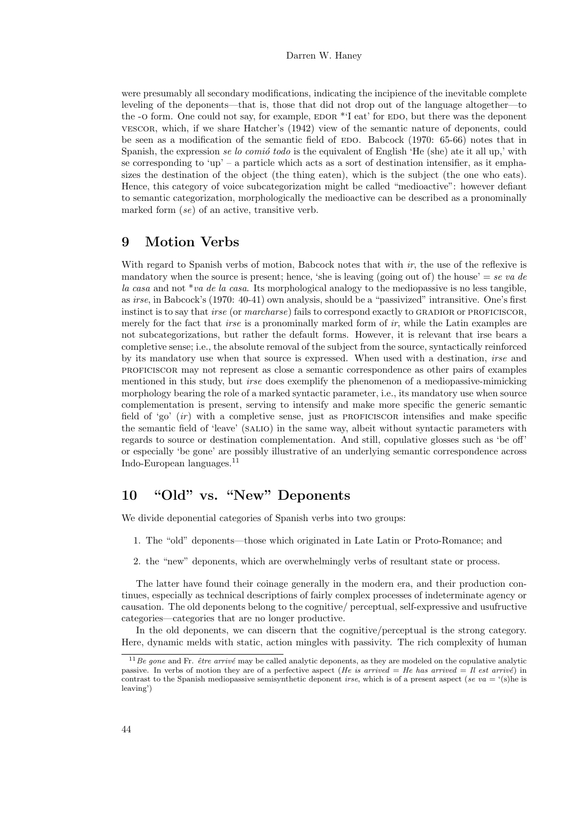#### Darren W. Haney

were presumably all secondary modifications, indicating the incipience of the inevitable complete leveling of the deponents—that is, those that did not drop out of the language altogether—to the -o form. One could not say, for example,  $EDOR * T$  eat' for  $EDO$ , but there was the deponent vescor, which, if we share Hatcher's (1942) view of the semantic nature of deponents, could be seen as a modification of the semantic field of EDO. Babcock (1970: 65-66) notes that in Spanish, the expression se lo comió todo is the equivalent of English 'He (she) ate it all up,' with se corresponding to 'up' – a particle which acts as a sort of destination intensifier, as it emphasizes the destination of the object (the thing eaten), which is the subject (the one who eats). Hence, this category of voice subcategorization might be called "medioactive": however defiant to semantic categorization, morphologically the medioactive can be described as a pronominally marked form (se) of an active, transitive verb.

### 9 Motion Verbs

With regard to Spanish verbs of motion, Babcock notes that with  $ir$ , the use of the reflexive is mandatory when the source is present; hence, 'she is leaving (going out of) the house' = se va de la casa and not  $*va$  de la casa. Its morphological analogy to the mediopassive is no less tangible, as irse, in Babcock's (1970: 40-41) own analysis, should be a "passivized" intransitive. One's first instinct is to say that *irse* (or *marcharse*) fails to correspond exactly to GRADIOR or PROFICISCOR, merely for the fact that *irse* is a pronominally marked form of *ir*, while the Latin examples are not subcategorizations, but rather the default forms. However, it is relevant that irse bears a completive sense; i.e., the absolute removal of the subject from the source, syntactically reinforced by its mandatory use when that source is expressed. When used with a destination, irse and proficiscor may not represent as close a semantic correspondence as other pairs of examples mentioned in this study, but *irse* does exemplify the phenomenon of a mediopassive-mimicking morphology bearing the role of a marked syntactic parameter, i.e., its mandatory use when source complementation is present, serving to intensify and make more specific the generic semantic field of 'go'  $(ir)$  with a completive sense, just as PROFICISCOR intensifies and make specific the semantic field of 'leave' (salio) in the same way, albeit without syntactic parameters with regards to source or destination complementation. And still, copulative glosses such as 'be off' or especially 'be gone' are possibly illustrative of an underlying semantic correspondence across Indo-European languages.<sup>11</sup>

# 10 "Old" vs. "New" Deponents

We divide deponential categories of Spanish verbs into two groups:

- 1. The "old" deponents—those which originated in Late Latin or Proto-Romance; and
- 2. the "new" deponents, which are overwhelmingly verbs of resultant state or process.

The latter have found their coinage generally in the modern era, and their production continues, especially as technical descriptions of fairly complex processes of indeterminate agency or causation. The old deponents belong to the cognitive/ perceptual, self-expressive and usufructive categories—categories that are no longer productive.

In the old deponents, we can discern that the cognitive/perceptual is the strong category. Here, dynamic melds with static, action mingles with passivity. The rich complexity of human

 $11Be$  gone and Fr.  $\hat{e}$ tre arrivé may be called analytic deponents, as they are modeled on the copulative analytic passive. In verbs of motion they are of a perfective aspect (He is arrived = He has arrived = Il est arrivé) in contrast to the Spanish mediopassive semisynthetic deponent *irse*, which is of a present aspect (se va = '(s)he is leaving')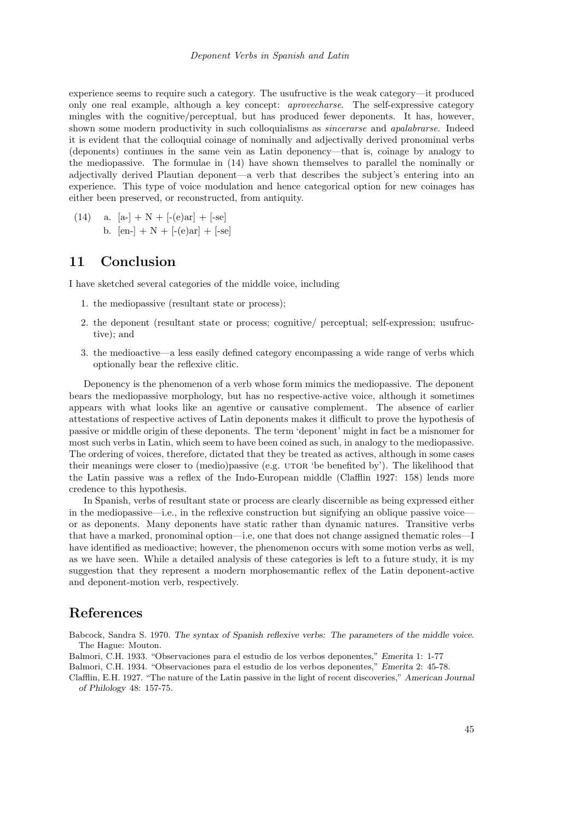experience seems to require such a category. The usufructive is the weak category—it produced only one real example, although a key concept: aprovecharse. The self-expressive category mingles with the cognitive/perceptual, but has produced fewer deponents. It has, however, shown some modern productivity in such colloquialisms as *sincerarse* and *apalabrarse*. Indeed it is evident that the colloquial coinage of nominally and adjectivally derived pronominal verbs (deponents) continues in the same vein as Latin deponency—that is, coinage by analogy to the mediopassive. The formulae in (14) have shown themselves to parallel the nominally or adjectivally derived Plautian deponent—a verb that describes the subject's entering into an experience. This type of voice modulation and hence categorical option for new coinages has either been preserved, or reconstructed, from antiquity.

(14) a.  $[a-]+N+[-(e)ar]+[-se]$ b.  $[en-] + N + [-(e)ar] + [-se]$ 

### 11 Conclusion

I have sketched several categories of the middle voice, including

- 1. the mediopassive (resultant state or process);
- 2. the deponent (resultant state or process; cognitive/ perceptual; self-expression; usufructive); and
- 3. the medioactive—a less easily defined category encompassing a wide range of verbs which optionally bear the reflexive clitic.

Deponency is the phenomenon of a verb whose form mimics the mediopassive. The deponent bears the mediopassive morphology, but has no respective-active voice, although it sometimes appears with what looks like an agentive or causative complement. The absence of earlier attestations of respective actives of Latin deponents makes it difficult to prove the hypothesis of passive or middle origin of these deponents. The term 'deponent' might in fact be a misnomer for most such verbs in Latin, which seem to have been coined as such, in analogy to the mediopassive. The ordering of voices, therefore, dictated that they be treated as actives, although in some cases their meanings were closer to (medio)passive (e.g. UTOR 'be benefited by'). The likelihood that the Latin passive was a reflex of the Indo-European middle (Clafflin 1927: 158) lends more credence to this hypothesis.

In Spanish, verbs of resultant state or process are clearly discernible as being expressed either in the mediopassive—i.e., in the reflexive construction but signifying an oblique passive voice or as deponents. Many deponents have static rather than dynamic natures. Transitive verbs that have a marked, pronominal option—i.e, one that does not change assigned thematic roles—I have identified as medioactive; however, the phenomenon occurs with some motion verbs as well, as we have seen. While a detailed analysis of these categories is left to a future study, it is my suggestion that they represent a modern morphosemantic reflex of the Latin deponent-active and deponent-motion verb, respectively.

### References

Babcock, Sandra S. 1970. The syntax of Spanish reflexive verbs: The parameters of the middle voice. The Hague: Mouton.

Balmori, C.H. 1933. "Observaciones para el estudio de los verbos deponentes," Emerita 1: 1-77

Balmori, C.H. 1934. "Observaciones para el estudio de los verbos deponentes," Emerita 2: 45-78.

Clafflin, E.H. 1927. "The nature of the Latin passive in the light of recent discoveries," American Journal of Philology 48: 157-75.